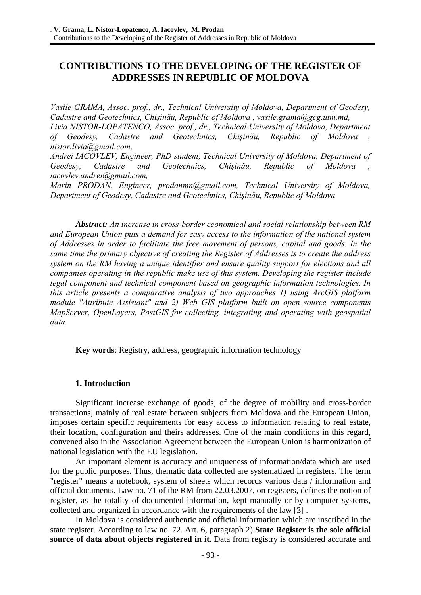# **CONTRIBUTIONS TO THE DEVELOPING OF THE REGISTER OF ADDRESSES IN REPUBLIC OF MOLDOVA**

*Vasile GRAMA, Assoc. prof., dr., Technical University of Moldova, Department of Geodesy, Cadastre and Geotechnics, Chişinău, Republic of Moldova , vasile.grama@gcg.utm.md, Livia NISTOR-LOPATENCO, Assoc. prof., dr., Technical University of Moldova, Department of Geodesy, Cadastre and Geotechnics, Chişinău, Republic of Moldova , nistor.livia@gmail.com,* 

*Andrei IACOVLEV, Engineer, PhD student, Technical University of Moldova, Department of Geodesy, Cadastre and Geotechnics, Chişinău, Republic of Moldova , iacovlev.andrei@gmail.com,* 

*Marin PRODAN, Engineer, prodanmn@gmail.com, Technical University of Moldova, Department of Geodesy, Cadastre and Geotechnics, Chişinău, Republic of Moldova* 

*Abstract: An increase in cross-border economical and social relationship between RM and European Union puts a demand for easy access to the information of the national system of Addresses in order to facilitate the free movement of persons, capital and goods. In the same time the primary objective of creating the Register of Addresses is to create the address system on the RM having a unique identifier and ensure quality support for elections and all companies operating in the republic make use of this system. Developing the register include legal component and technical component based on geographic information technologies. In this article presents a comparative analysis of two approaches 1) using ArcGIS platform module "Attribute Assistant" and 2) Web GIS platform built on open source components MapServer, OpenLayers, PostGIS for collecting, integrating and operating with geospatial data.* 

**Key words**: Registry, address, geographic information technology

### **1. Introduction**

Significant increase exchange of goods, of the degree of mobility and cross-border transactions, mainly of real estate between subjects from Moldova and the European Union, imposes certain specific requirements for easy access to information relating to real estate, their location, configuration and theirs addresses. One of the main conditions in this regard, convened also in the Association Agreement between the European Union is harmonization of national legislation with the EU legislation.

An important element is accuracy and uniqueness of information/data which are used for the public purposes. Thus, thematic data collected are systematized in registers. The term "register" means a notebook, system of sheets which records various data / information and official documents. Law no. 71 of the RM from 22.03.2007, on registers, defines the notion of register, as the totality of documented information, kept manually or by computer systems, collected and organized in accordance with the requirements of the law [3] .

In Moldova is considered authentic and official information which are inscribed in the state register. According to law no. 72. Art. 6, paragraph 2) **State Register is the sole official source of data about objects registered in it.** Data from registry is considered accurate and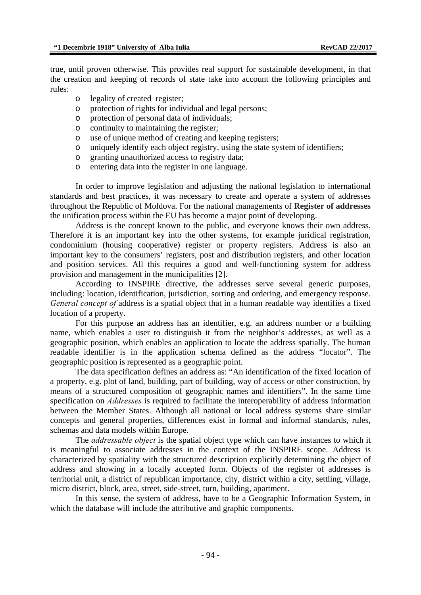true, until proven otherwise. This provides real support for sustainable development, in that the creation and keeping of records of state take into account the following principles and rules:

- o legality of created register;
- o protection of rights for individual and legal persons;
- o protection of personal data of individuals;
- o continuity to maintaining the register;
- o use of unique method of creating and keeping registers;
- o uniquely identify each object registry, using the state system of identifiers;
- o granting unauthorized access to registry data;
- o entering data into the register in one language.

In order to improve legislation and adjusting the national legislation to international standards and best practices, it was necessary to create and operate a system of addresses throughout the Republic of Moldova. For the national managements of **Register of addresses**  the unification process within the EU has become a major point of developing.

Address is the concept known to the public, and everyone knows their own address. Therefore it is an important key into the other systems, for example juridical registration, condominium (housing cooperative) register or property registers. Address is also an important key to the consumers' registers, post and distribution registers, and other location and position services. All this requires a good and well-functioning system for address provision and management in the municipalities [2].

According to INSPIRE directive, the addresses serve several generic purposes, including: location, identification, jurisdiction, sorting and ordering, and emergency response. *General concept of* address is a spatial object that in a human readable way identifies a fixed location of a property.

For this purpose an address has an identifier, e.g. an address number or a building name, which enables a user to distinguish it from the neighbor's addresses, as well as a geographic position, which enables an application to locate the address spatially. The human readable identifier is in the application schema defined as the address "locator". The geographic position is represented as a geographic point.

The data specification defines an address as: "An identification of the fixed location of a property, e.g. plot of land, building, part of building, way of access or other construction, by means of a structured composition of geographic names and identifiers". In the same time specification on *Addresses* is required to facilitate the interoperability of address information between the Member States. Although all national or local address systems share similar concepts and general properties, differences exist in formal and informal standards, rules, schemas and data models within Europe.

The *addressable object* is the spatial object type which can have instances to which it is meaningful to associate addresses in the context of the INSPIRE scope. Address is characterized by spatiality with the structured description explicitly determining the object of address and showing in a locally accepted form. Objects of the register of addresses is territorial unit, a district of republican importance, city, district within a city, settling, village, micro district, block, area, street, side-street, turn, building, apartment.

In this sense, the system of address, have to be a Geographic Information System, in which the database will include the attributive and graphic components.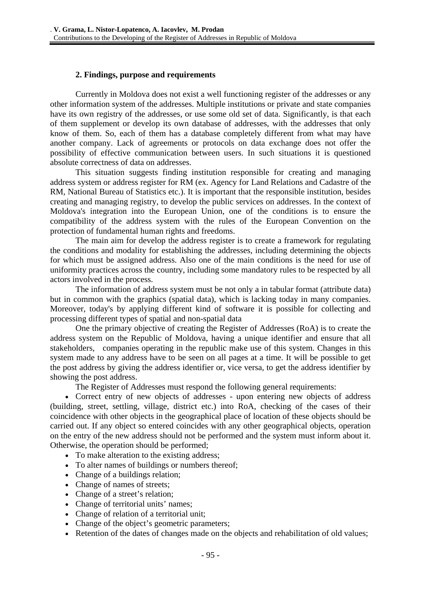### **2. Findings, purpose and requirements**

Currently in Moldova does not exist a well functioning register of the addresses or any other information system of the addresses. Multiple institutions or private and state companies have its own registry of the addresses, or use some old set of data. Significantly, is that each of them supplement or develop its own database of addresses, with the addresses that only know of them. So, each of them has a database completely different from what may have another company. Lack of agreements or protocols on data exchange does not offer the possibility of effective communication between users. In such situations it is questioned absolute correctness of data on addresses.

This situation suggests finding institution responsible for creating and managing address system or address register for RM (ex. Agency for Land Relations and Cadastre of the RM, National Bureau of Statistics etc.). It is important that the responsible institution, besides creating and managing registry, to develop the public services on addresses. In the context of Moldova's integration into the European Union, one of the conditions is to ensure the compatibility of the address system with the rules of the European Convention on the protection of fundamental human rights and freedoms.

The main aim for develop the address register is to create a framework for regulating the conditions and modality for establishing the addresses, including determining the objects for which must be assigned address. Also one of the main conditions is the need for use of uniformity practices across the country, including some mandatory rules to be respected by all actors involved in the process.

The information of address system must be not only a in tabular format (attribute data) but in common with the graphics (spatial data), which is lacking today in many companies. Moreover, today's by applying different kind of software it is possible for collecting and processing different types of spatial and non-spatial data

One the primary objective of creating the Register of Addresses (RoA) is to create the address system on the Republic of Moldova, having a unique identifier and ensure that all stakeholders, companies operating in the republic make use of this system. Changes in this system made to any address have to be seen on all pages at a time. It will be possible to get the post address by giving the address identifier or, vice versa, to get the address identifier by showing the post address.

The Register of Addresses must respond the following general requirements:

• Correct entry of new objects of addresses - upon entering new objects of address (building, street, settling, village, district etc.) into RoA, checking of the cases of their coincidence with other objects in the geographical place of location of these objects should be carried out. If any object so entered coincides with any other geographical objects, operation on the entry of the new address should not be performed and the system must inform about it. Otherwise, the operation should be performed;

- To make alteration to the existing address:
- To alter names of buildings or numbers thereof;
- Change of a buildings relation;
- Change of names of streets;
- Change of a street's relation;
- Change of territorial units' names;
- Change of relation of a territorial unit;
- Change of the object's geometric parameters;
- Retention of the dates of changes made on the objects and rehabilitation of old values;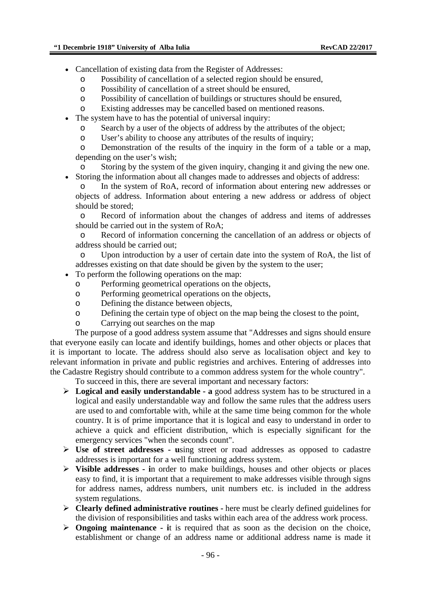- Cancellation of existing data from the Register of Addresses:
	- o Possibility of cancellation of a selected region should be ensured,
	- o Possibility of cancellation of a street should be ensured,
	- o Possibility of cancellation of buildings or structures should be ensured,
	- o Existing addresses may be cancelled based on mentioned reasons.
- The system have to has the potential of universal inquiry:
	- o Search by a user of the objects of address by the attributes of the object;
	- o User's ability to choose any attributes of the results of inquiry;

o Demonstration of the results of the inquiry in the form of a table or a map, depending on the user's wish;

Storing by the system of the given inquiry, changing it and giving the new one.

Storing the information about all changes made to addresses and objects of address:

In the system of RoA, record of information about entering new addresses or objects of address. Information about entering a new address or address of object should be stored;

o Record of information about the changes of address and items of addresses should be carried out in the system of RoA;

o Record of information concerning the cancellation of an address or objects of address should be carried out;

o Upon introduction by a user of certain date into the system of RoA, the list of addresses existing on that date should be given by the system to the user;

- To perform the following operations on the map:
	- o Performing geometrical operations on the objects,
	- o Performing geometrical operations on the objects,
	- o Defining the distance between objects,
	- o Defining the certain type of object on the map being the closest to the point,
	- o Carrying out searches on the map

The purpose of a good address system assume that "Addresses and signs should ensure that everyone easily can locate and identify buildings, homes and other objects or places that it is important to locate. The address should also serve as localisation object and key to relevant information in private and public registries and archives. Entering of addresses into the Cadastre Registry should contribute to a common address system for the whole country".

To succeed in this, there are several important and necessary factors:

- ¾ **Logical and easily understandable a** good address system has to be structured in a logical and easily understandable way and follow the same rules that the address users are used to and comfortable with, while at the same time being common for the whole country. It is of prime importance that it is logical and easy to understand in order to achieve a quick and efficient distribution, which is especially significant for the emergency services "when the seconds count".
- ¾ **Use of street addresses u**sing street or road addresses as opposed to cadastre addresses is important for a well functioning address system.
- ¾ **Visible addresses i**n order to make buildings, houses and other objects or places easy to find, it is important that a requirement to make addresses visible through signs for address names, address numbers, unit numbers etc. is included in the address system regulations.
- ¾ **Clearly defined administrative routines** here must be clearly defined guidelines for the division of responsibilities and tasks within each area of the address work process.
- ¾ **Ongoing maintenance i**t is required that as soon as the decision on the choice, establishment or change of an address name or additional address name is made it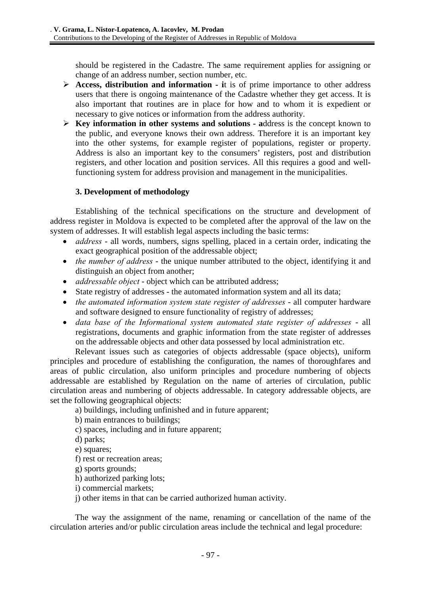should be registered in the Cadastre. The same requirement applies for assigning or change of an address number, section number, etc.

- ¾ **Access, distribution and information i**t is of prime importance to other address users that there is ongoing maintenance of the Cadastre whether they get access. It is also important that routines are in place for how and to whom it is expedient or necessary to give notices or information from the address authority.
- ¾ **Key information in other systems and solutions a**ddress is the concept known to the public, and everyone knows their own address. Therefore it is an important key into the other systems, for example register of populations, register or property. Address is also an important key to the consumers' registers, post and distribution registers, and other location and position services. All this requires a good and wellfunctioning system for address provision and management in the municipalities.

### **3. Development of methodology**

Establishing of the technical specifications on the structure and development of address register in Moldova is expected to be completed after the approval of the law on the system of addresses. It will establish legal aspects including the basic terms:

- *address* all words, numbers, signs spelling, placed in a certain order, indicating the exact geographical position of the addressable object;
- *the number of address* the unique number attributed to the object, identifying it and distinguish an object from another;
- *addressable object* object which can be attributed address;
- State registry of addresses the automated information system and all its data;
- *the automated information system state register of addresses* all computer hardware and software designed to ensure functionality of registry of addresses;
- *data base of the Informational system automated state register of addresses* all registrations, documents and graphic information from the state register of addresses on the addressable objects and other data possessed by local administration etc.

Relevant issues such as categories of objects addressable (space objects), uniform principles and procedure of establishing the configuration, the names of thoroughfares and areas of public circulation, also uniform principles and procedure numbering of objects addressable are established by Regulation on the name of arteries of circulation, public circulation areas and numbering of objects addressable. In category addressable objects, are set the following geographical objects:

a) buildings, including unfinished and in future apparent;

b) main entrances to buildings;

c) spaces, including and in future apparent;

d) parks;

e) squares;

f) rest or recreation areas;

g) sports grounds;

h) authorized parking lots;

i) commercial markets;

j) other items in that can be carried authorized human activity.

The way the assignment of the name, renaming or cancellation of the name of the circulation arteries and/or public circulation areas include the technical and legal procedure: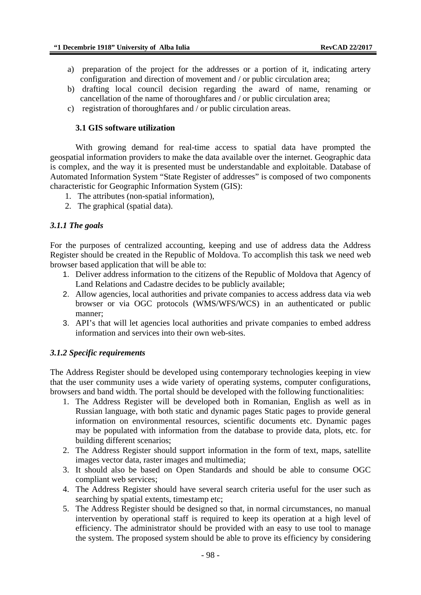- a) preparation of the project for the addresses or a portion of it, indicating artery configuration and direction of movement and / or public circulation area;
- b) drafting local council decision regarding the award of name, renaming or cancellation of the name of thoroughfares and / or public circulation area;
- c) registration of thoroughfares and / or public circulation areas.

### **3.1 GIS software utilization**

With growing demand for real-time access to spatial data have prompted the geospatial information providers to make the data available over the internet. Geographic data is complex, and the way it is presented must be understandable and exploitable. Database of Automated Information System "State Register of addresses" is composed of two components characteristic for Geographic Information System (GIS):

- 1. The attributes (non-spatial information),
- 2. The graphical (spatial data).

### *3.1.1 The goals*

For the purposes of centralized accounting, keeping and use of address data the Address Register should be created in the Republic of Moldova. To accomplish this task we need web browser based application that will be able to:

- 1. Deliver address information to the citizens of the Republic of Moldova that Agency of Land Relations and Cadastre decides to be publicly available;
- 2. Allow agencies, local authorities and private companies to access address data via web browser or via OGC protocols (WMS/WFS/WCS) in an authenticated or public manner;
- 3. API's that will let agencies local authorities and private companies to embed address information and services into their own web-sites.

### *3.1.2 Specific requirements*

The Address Register should be developed using contemporary technologies keeping in view that the user community uses a wide variety of operating systems, computer configurations, browsers and band width. The portal should be developed with the following functionalities:

- 1. The Address Register will be developed both in Romanian, English as well as in Russian language, with both static and dynamic pages Static pages to provide general information on environmental resources, scientific documents etc. Dynamic pages may be populated with information from the database to provide data, plots, etc. for building different scenarios;
- 2. The Address Register should support information in the form of text, maps, satellite images vector data, raster images and multimedia;
- 3. It should also be based on Open Standards and should be able to consume OGC compliant web services;
- 4. The Address Register should have several search criteria useful for the user such as searching by spatial extents, timestamp etc;
- 5. The Address Register should be designed so that, in normal circumstances, no manual intervention by operational staff is required to keep its operation at a high level of efficiency. The administrator should be provided with an easy to use tool to manage the system. The proposed system should be able to prove its efficiency by considering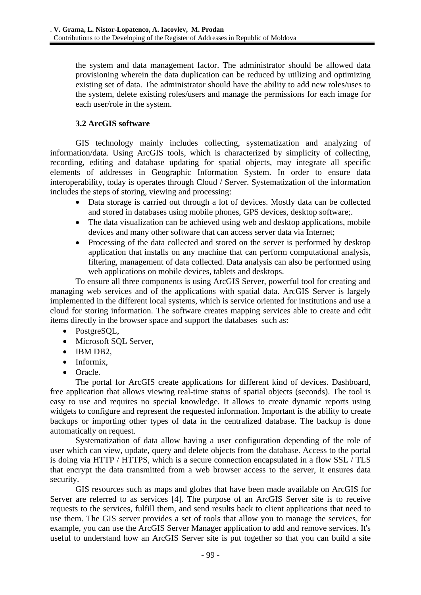the system and data management factor. The administrator should be allowed data provisioning wherein the data duplication can be reduced by utilizing and optimizing existing set of data. The administrator should have the ability to add new roles/uses to the system, delete existing roles/users and manage the permissions for each image for each user/role in the system.

### **3.2 ArcGIS software**

GIS technology mainly includes collecting, systematization and analyzing of information/data. Using ArcGIS tools, which is characterized by simplicity of collecting, recording, editing and database updating for spatial objects, may integrate all specific elements of addresses in Geographic Information System. In order to ensure data interoperability, today is operates through Cloud / Server. Systematization of the information includes the steps of storing, viewing and processing:

- Data storage is carried out through a lot of devices. Mostly data can be collected and stored in databases using mobile phones, GPS devices, desktop software;.
- The data visualization can be achieved using web and desktop applications, mobile devices and many other software that can access server data via Internet;
- Processing of the data collected and stored on the server is performed by desktop application that installs on any machine that can perform computational analysis, filtering, management of data collected. Data analysis can also be performed using web applications on mobile devices, tablets and desktops.

To ensure all three components is using ArcGIS Server, powerful tool for creating and managing web services and of the applications with spatial data. ArcGIS Server is largely implemented in the different local systems, which is service oriented for institutions and use a cloud for storing information. The software creates mapping services able to create and edit items directly in the browser space and support the databases such as:

- PostgreSQL,
- Microsoft SOL Server,
- IBM DB2,
- Informix.
- Oracle.

The portal for ArcGIS create applications for different kind of devices. Dashboard, free application that allows viewing real-time status of spatial objects (seconds). The tool is easy to use and requires no special knowledge. It allows to create dynamic reports using widgets to configure and represent the requested information. Important is the ability to create backups or importing other types of data in the centralized database. The backup is done automatically on request.

Systematization of data allow having a user configuration depending of the role of user which can view, update, query and delete objects from the database. Access to the portal is doing via HTTP / HTTPS, which is a secure connection encapsulated in a flow SSL / TLS that encrypt the data transmitted from a web browser access to the server, it ensures data security.

GIS resources such as maps and globes that have been made available on ArcGIS for Server are referred to as services [4]. The purpose of an ArcGIS Server site is to receive requests to the services, fulfill them, and send results back to client applications that need to use them. The GIS server provides a set of tools that allow you to manage the services, for example, you can use the ArcGIS Server Manager application to add and remove services. It's useful to understand how an ArcGIS Server site is put together so that you can build a site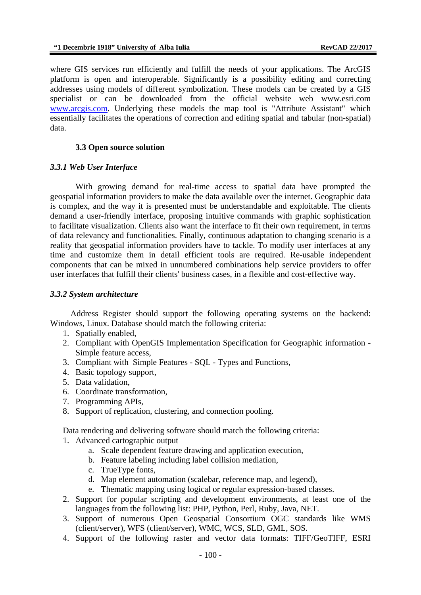where GIS services run efficiently and fulfill the needs of your applications. The ArcGIS platform is open and interoperable. Significantly is a possibility editing and correcting addresses using models of different symbolization. These models can be created by a GIS specialist or can be downloaded from the official website web www.esri.com www.arcgis.com. Underlying these models the map tool is "Attribute Assistant" which essentially facilitates the operations of correction and editing spatial and tabular (non-spatial) data.

### **3.3 Open source solution**

### *3.3.1 Web User Interface*

With growing demand for real-time access to spatial data have prompted the geospatial information providers to make the data available over the internet. Geographic data is complex, and the way it is presented must be understandable and exploitable. The clients demand a user-friendly interface, proposing intuitive commands with graphic sophistication to facilitate visualization. Clients also want the interface to fit their own requirement, in terms of data relevancy and functionalities. Finally, continuous adaptation to changing scenario is a reality that geospatial information providers have to tackle. To modify user interfaces at any time and customize them in detail efficient tools are required. Re-usable independent components that can be mixed in unnumbered combinations help service providers to offer user interfaces that fulfill their clients' business cases, in a flexible and cost-effective way.

### *3.3.2 System architecture*

Address Register should support the following operating systems on the backend: Windows, Linux. Database should match the following criteria:

- 1. Spatially enabled,
- 2. Compliant with OpenGIS Implementation Specification for Geographic information Simple feature access,
- 3. Compliant with Simple Features SQL Types and Functions,
- 4. Basic topology support,
- 5. Data validation,
- 6. Coordinate transformation,
- 7. Programming APIs,
- 8. Support of replication, clustering, and connection pooling.

Data rendering and delivering software should match the following criteria:

- 1. Advanced cartographic output
	- a. Scale dependent feature drawing and application execution,
	- b. Feature labeling including label collision mediation,
	- c. TrueType fonts,
	- d. Map element automation (scalebar, reference map, and legend),
	- e. Thematic mapping using logical or regular expression-based classes.
- 2. Support for popular scripting and development environments, at least one of the languages from the following list: PHP, Python, Perl, Ruby, Java, NET.
- 3. Support of numerous Open Geospatial Consortium OGC standards like WMS (client/server), WFS (client/server), WMC, WCS, SLD, GML, SOS.
- 4. Support of the following raster and vector data formats: TIFF/GeoTIFF, ESRI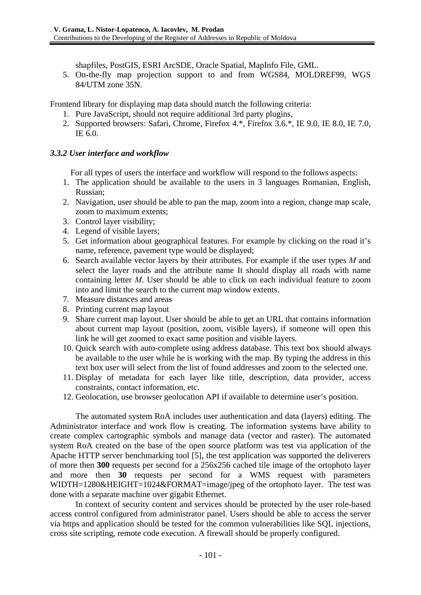shapfiles, PostGIS, ESRI ArcSDE, Oracle Spatial, MapInfo File, GML.

5. On-the-fly map projection support to and from WGS84, MOLDREF99, WGS 84/UTM zone 35N.

Frontend library for displaying map data should match the following criteria:

- 1. Pure JavaScript, should not require additional 3rd party plugins,
- 2. Supported browsers: Safari, Chrome, Firefox 4.\*, Firefox 3.6.\*, IE 9.0, IE 8.0, IE 7.0, IE 6.0.

## *3.3.2 User interface and workflow*

For all types of users the interface and workflow will respond to the follows aspects:

- 1. The application should be available to the users in 3 languages Romanian, English, Russian;
- 2. Navigation, user should be able to pan the map, zoom into a region, change map scale, zoom to maximum extents;
- 3. Control layer visibility;
- 4. Legend of visible layers;
- 5. Get information about geographical features. For example by clicking on the road it's name, reference, pavement type would be displayed;
- 6. Search available vector layers by their attributes. For example if the user types *M* and select the layer roads and the attribute name It should display all roads with name containing letter *M*. User should be able to click on each individual feature to zoom into and limit the search to the current map window extents.
- 7. Measure distances and areas
- 8. Printing current map layout
- 9. Share current map layout. User should be able to get an URL that contains information about current map layout (position, zoom, visible layers), if someone will open this link he will get zoomed to exact same position and visible layers.
- 10. Quick search with auto-complete using address database. This text box should always be available to the user while he is working with the map. By typing the address in this text box user will select from the list of found addresses and zoom to the selected one.
- 11. Display of metadata for each layer like title, description, data provider, access constraints, contact information, etc.
- 12. Geolocation, use browser geolocation API if available to determine user's position.

The automated system RoA includes user authentication and data (layers) editing. The Administrator interface and work flow is creating. The information systems have ability to create complex cartographic symbols and manage data (vector and raster). The automated system RoA created on the base of the open source platform was test via application of the Apache HTTP server benchmarking tool [5], the test application was supported the deliverers of more then **300** requests per second for a 256x256 cached tile image of the ortophoto layer and more then **30** requests per second for a WMS request with parameters WIDTH=1280&HEIGHT=1024&FORMAT=image/jpeg of the ortophoto layer. The test was done with a separate machine over gigabit Ethernet.

In context of security content and services should be protected by the user role-based access control configured from administrator panel. Users should be able to access the server via https and application should be tested for the common vulnerabilities like SQL injections, cross site scripting, remote code execution. A firewall should be properly configured.